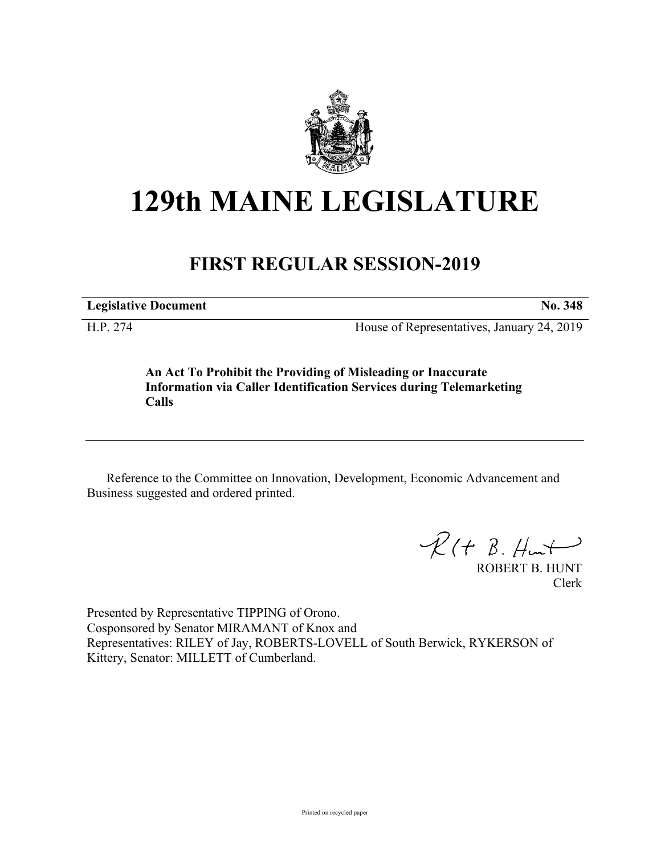

## **129th MAINE LEGISLATURE**

## **FIRST REGULAR SESSION-2019**

**Legislative Document No. 348**

H.P. 274 House of Representatives, January 24, 2019

**An Act To Prohibit the Providing of Misleading or Inaccurate Information via Caller Identification Services during Telemarketing Calls**

Reference to the Committee on Innovation, Development, Economic Advancement and Business suggested and ordered printed.

 $R(H B. H<sub>un</sub>+)$ 

ROBERT B. HUNT Clerk

Presented by Representative TIPPING of Orono. Cosponsored by Senator MIRAMANT of Knox and Representatives: RILEY of Jay, ROBERTS-LOVELL of South Berwick, RYKERSON of Kittery, Senator: MILLETT of Cumberland.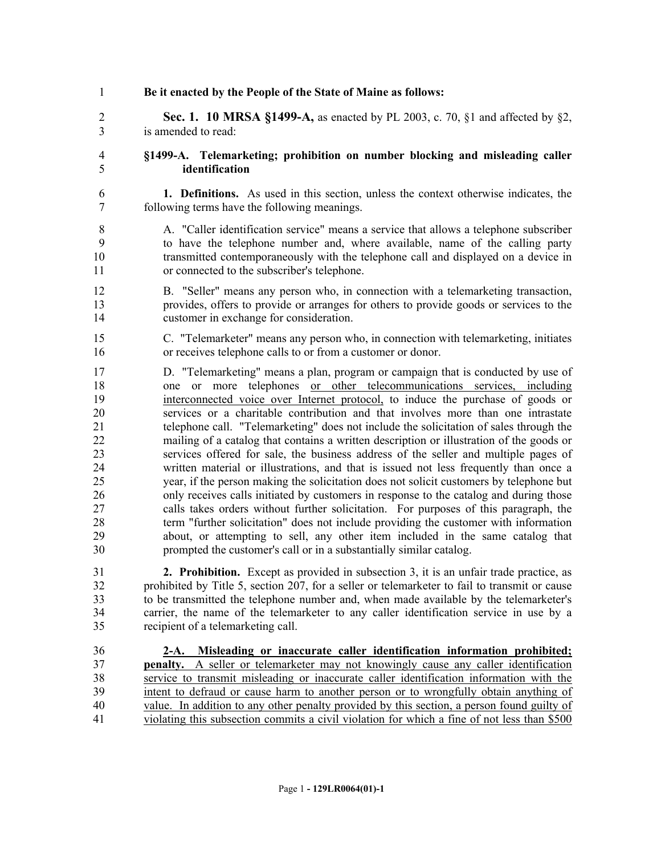**Be it enacted by the People of the State of Maine as follows: Sec. 1. 10 MRSA §1499-A,** as enacted by PL 2003, c. 70, §1 and affected by §2, is amended to read: **§1499-A. Telemarketing; prohibition on number blocking and misleading caller identification 1. Definitions.** As used in this section, unless the context otherwise indicates, the following terms have the following meanings. A. "Caller identification service" means a service that allows a telephone subscriber to have the telephone number and, where available, name of the calling party transmitted contemporaneously with the telephone call and displayed on a device in or connected to the subscriber's telephone. B. "Seller" means any person who, in connection with a telemarketing transaction, provides, offers to provide or arranges for others to provide goods or services to the customer in exchange for consideration. C. "Telemarketer" means any person who, in connection with telemarketing, initiates or receives telephone calls to or from a customer or donor. D. "Telemarketing" means a plan, program or campaign that is conducted by use of one or more telephones or other telecommunications services, including interconnected voice over Internet protocol, to induce the purchase of goods or services or a charitable contribution and that involves more than one intrastate telephone call. "Telemarketing" does not include the solicitation of sales through the mailing of a catalog that contains a written description or illustration of the goods or services offered for sale, the business address of the seller and multiple pages of written material or illustrations, and that is issued not less frequently than once a year, if the person making the solicitation does not solicit customers by telephone but only receives calls initiated by customers in response to the catalog and during those calls takes orders without further solicitation. For purposes of this paragraph, the term "further solicitation" does not include providing the customer with information about, or attempting to sell, any other item included in the same catalog that prompted the customer's call or in a substantially similar catalog. **2. Prohibition.** Except as provided in subsection 3, it is an unfair trade practice, as prohibited by Title 5, section 207, for a seller or telemarketer to fail to transmit or cause to be transmitted the telephone number and, when made available by the telemarketer's carrier, the name of the telemarketer to any caller identification service in use by a recipient of a telemarketing call. **2-A. Misleading or inaccurate caller identification information prohibited; penalty.** A seller or telemarketer may not knowingly cause any caller identification service to transmit misleading or inaccurate caller identification information with the intent to defraud or cause harm to another person or to wrongfully obtain anything of value. In addition to any other penalty provided by this section, a person found guilty of violating this subsection commits a civil violation for which a fine of not less than \$500